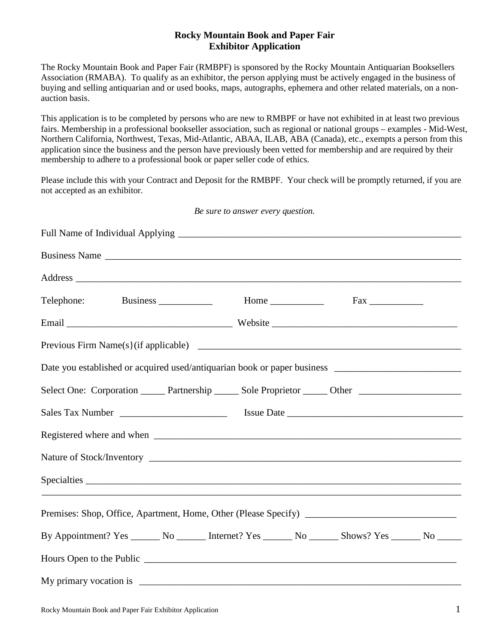## **Rocky Mountain Book and Paper Fair Exhibitor Application**

The Rocky Mountain Book and Paper Fair (RMBPF) is sponsored by the Rocky Mountain Antiquarian Booksellers Association (RMABA). To qualify as an exhibitor, the person applying must be actively engaged in the business of buying and selling antiquarian and or used books, maps, autographs, ephemera and other related materials, on a nonauction basis.

This application is to be completed by persons who are new to RMBPF or have not exhibited in at least two previous fairs. Membership in a professional bookseller association, such as regional or national groups – examples - Mid-West, Northern California, Northwest, Texas, Mid-Atlantic, ABAA, ILAB, ABA (Canada), etc., exempts a person from this application since the business and the person have previously been vetted for membership and are required by their membership to adhere to a professional book or paper seller code of ethics.

Please include this with your Contract and Deposit for the RMBPF. Your check will be promptly returned, if you are not accepted as an exhibitor.

| Be sure to answer every question.                                                                         |  |  |  |  |
|-----------------------------------------------------------------------------------------------------------|--|--|--|--|
|                                                                                                           |  |  |  |  |
| Business Name                                                                                             |  |  |  |  |
|                                                                                                           |  |  |  |  |
|                                                                                                           |  |  |  |  |
|                                                                                                           |  |  |  |  |
|                                                                                                           |  |  |  |  |
| Date you established or acquired used/antiquarian book or paper business __________________________       |  |  |  |  |
| Select One: Corporation _______ Partnership ______ Sole Proprietor ______ Other ___________________       |  |  |  |  |
|                                                                                                           |  |  |  |  |
|                                                                                                           |  |  |  |  |
|                                                                                                           |  |  |  |  |
|                                                                                                           |  |  |  |  |
|                                                                                                           |  |  |  |  |
| By Appointment? Yes ________ No _________ Internet? Yes ________ No ________ Shows? Yes _______ No ______ |  |  |  |  |
|                                                                                                           |  |  |  |  |
|                                                                                                           |  |  |  |  |